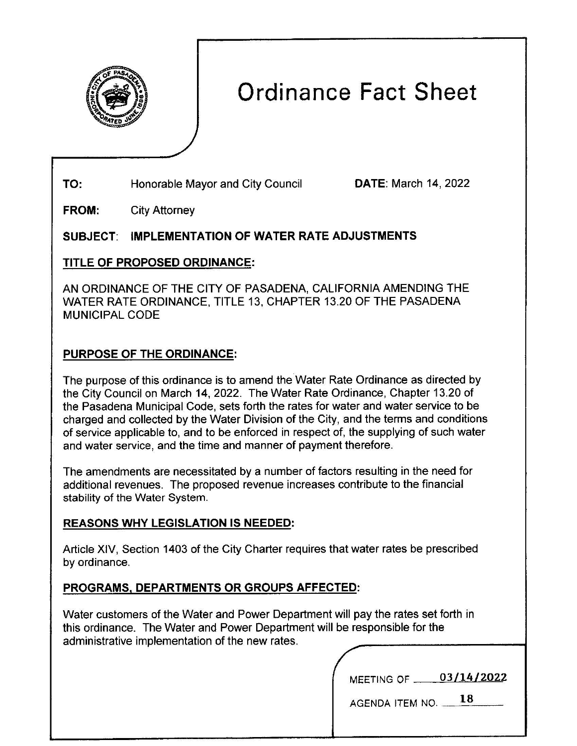

# Ordinance Fact Sheet

**TO:** Honorable Mayor and City Council

**DATE:** March 14, 2022

City Attorney **FROM:** 

## **SUBJECT: IMPLEMENTATION OF WATER RATE ADJUSTMENTS**

## TITLE **OF PROPOSED ORDINANCE:**

AN ORDINANCE OF THE CITY OF PASADENA, CALIFORNIA AMENDING THE WATER RATE ORDINANCE, TITLE 13, CHAPTER 13.20 OF THE PASADENA MUNICIPAL CODE

# **PURPOSE** OF THE **ORDINANCE:**

The purpose of this ordinance is to amend the Water Rate Ordinance as directed by the City Council on March 14, 2022. The Water Rate Ordinance, Chapter 13.20 of the Pasadena Municipal Code, sets forth the rates for water and water service to be charged and collected by the Water Division of the City, and the terms and conditions of service applicable to, and to be enforced in respect of, the supplying of such water and water service, and the time and manner of payment therefore.

The amendments are necessitated by a number of factors resulting in the need for additional revenues. The proposed revenue increases contribute to the financial stability of the Water System.

## **REASONS WHY LEGISLATION 15 NEEDED:**

Article XIV, Section 1403 of the City Charter requires that water rates be prescribed by ordinance.

# **PROGRAMS, DEPARTMENTS OR GROUPS AFFECTED:**

Water customers of the Water and Power Department will pay the rates set forth in this ordinance. The Water and Power Department will be responsible for the administrative implementation of the new rates.

| <b>MEETING OF</b> | 03/14/2022 |
|-------------------|------------|
|-------------------|------------|

AGENDA ITEM NO. **\_ \_ l\_S \_\_**